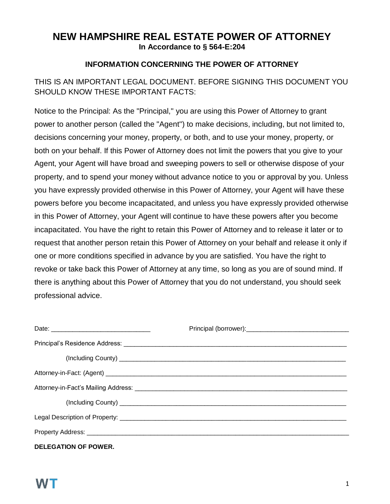## **NEW HAMPSHIRE REAL ESTATE POWER OF ATTORNEY In Accordance to § 564-E:204**

#### **INFORMATION CONCERNING THE POWER OF ATTORNEY**

### THIS IS AN IMPORTANT LEGAL DOCUMENT. BEFORE SIGNING THIS DOCUMENT YOU SHOULD KNOW THESE IMPORTANT FACTS:

Notice to the Principal: As the "Principal,'' you are using this Power of Attorney to grant power to another person (called the "Agent'') to make decisions, including, but not limited to, decisions concerning your money, property, or both, and to use your money, property, or both on your behalf. If this Power of Attorney does not limit the powers that you give to your Agent, your Agent will have broad and sweeping powers to sell or otherwise dispose of your property, and to spend your money without advance notice to you or approval by you. Unless you have expressly provided otherwise in this Power of Attorney, your Agent will have these powers before you become incapacitated, and unless you have expressly provided otherwise in this Power of Attorney, your Agent will continue to have these powers after you become incapacitated. You have the right to retain this Power of Attorney and to release it later or to request that another person retain this Power of Attorney on your behalf and release it only if one or more conditions specified in advance by you are satisfied. You have the right to revoke or take back this Power of Attorney at any time, so long as you are of sound mind. If there is anything about this Power of Attorney that you do not understand, you should seek professional advice.

| <b>DELEGATION OF POWER.</b> |  |
|-----------------------------|--|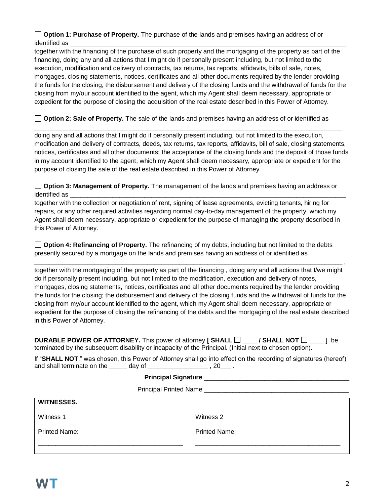**Option 1: Purchase of Property.** The purchase of the lands and premises having an address of or identified as \_\_\_\_\_\_\_\_\_\_\_\_\_\_\_\_\_\_\_\_\_\_\_\_\_\_\_\_\_\_\_\_\_\_\_\_\_\_\_\_\_\_\_\_\_\_\_\_\_\_\_\_\_\_\_\_\_\_\_\_\_\_\_\_\_\_\_\_\_\_\_\_\_\_\_\_\_\_

together with the financing of the purchase of such property and the mortgaging of the property as part of the financing, doing any and all actions that I might do if personally present including, but not limited to the execution, modification and delivery of contracts, tax returns, tax reports, affidavits, bills of sale, notes, mortgages, closing statements, notices, certificates and all other documents required by the lender providing the funds for the closing; the disbursement and delivery of the closing funds and the withdrawal of funds for the closing from my/our account identified to the agent, which my Agent shall deem necessary, appropriate or expedient for the purpose of closing the acquisition of the real estate described in this Power of Attorney.

**Option 2: Sale of Property.** The sale of the lands and premises having an address of or identified as

doing any and all actions that I might do if personally present including, but not limited to the execution, modification and delivery of contracts, deeds, tax returns, tax reports, affidavits, bill of sale, closing statements, notices, certificates and all other documents; the acceptance of the closing funds and the deposit of those funds in my account identified to the agent, which my Agent shall deem necessary, appropriate or expedient for the purpose of closing the sale of the real estate described in this Power of Attorney.

\_\_\_\_\_\_\_\_\_\_\_\_\_\_\_\_\_\_\_\_\_\_\_\_\_\_\_\_\_\_\_\_\_\_\_\_\_\_\_\_\_\_\_\_\_\_\_\_\_\_\_\_\_\_\_\_\_\_\_\_\_\_\_\_\_\_\_\_\_\_\_\_\_\_\_\_\_\_\_\_\_\_\_\_\_\_\_

**Option 3: Management of Property.** The management of the lands and premises having an address or identified as

together with the collection or negotiation of rent, signing of lease agreements, evicting tenants, hiring for repairs, or any other required activities regarding normal day-to-day management of the property, which my Agent shall deem necessary, appropriate or expedient for the purpose of managing the property described in this Power of Attorney.

**Option 4: Refinancing of Property.** The refinancing of my debts, including but not limited to the debts presently secured by a mortgage on the lands and premises having an address of or identified as

together with the mortgaging of the property as part of the financing , doing any and all actions that I/we might do if personally present including, but not limited to the modification, execution and delivery of notes, mortgages, closing statements, notices, certificates and all other documents required by the lender providing the funds for the closing; the disbursement and delivery of the closing funds and the withdrawal of funds for the closing from my/our account identified to the agent, which my Agent shall deem necessary, appropriate or expedient for the purpose of closing the refinancing of the debts and the mortgaging of the real estate described in this Power of Attorney.

\_\_\_\_\_\_\_\_\_\_\_\_\_\_\_\_\_\_\_\_\_\_\_\_\_\_\_\_\_\_\_\_\_\_\_\_\_\_\_\_\_\_\_\_\_\_\_\_\_\_\_\_\_\_\_\_\_\_\_\_\_\_\_\_\_\_\_\_\_\_\_\_\_\_\_\_\_\_\_\_\_\_\_\_\_\_\_ ,

**DURABLE POWER OF ATTORNEY.** This power of attorney **[ SHALL**  $\Box$  **\_\_\_\_ / SHALL NOT**  $\Box$  \_\_\_ ] be terminated by the subsequent disability or incapacity of the Principal. (Initial next to chosen option).

|                            |        | If "SHALL NOT," was chosen, this Power of Attorney shall go into effect on the recording of signatures (hereof) |
|----------------------------|--------|-----------------------------------------------------------------------------------------------------------------|
| and shall terminate on the | dav of | -20                                                                                                             |

| Witness 1            | Witness 2            |  |  |  |
|----------------------|----------------------|--|--|--|
| <b>Printed Name:</b> | <b>Printed Name:</b> |  |  |  |
|                      |                      |  |  |  |